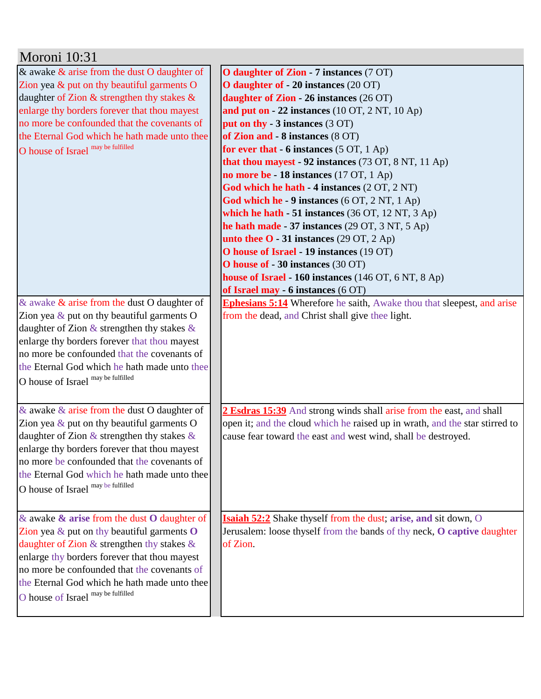| Moroni 10:31                                            |                                                                                |
|---------------------------------------------------------|--------------------------------------------------------------------------------|
| & awake $\&$ arise from the dust O daughter of          | O daughter of Zion - 7 instances (7 OT)                                        |
| Zion yea $\&$ put on thy beautiful garments O           | O daughter of - 20 instances (20 OT)                                           |
| daughter of Zion & strengthen thy stakes &              | daughter of Zion - 26 instances (26 OT)                                        |
| enlarge thy borders forever that thou mayest            | and put on $-22$ instances (10 OT, 2 NT, 10 Ap)                                |
| no more be confounded that the covenants of             | put on thy - $3$ instances $(3 OT)$                                            |
| the Eternal God which he hath made unto thee            | of Zion and - 8 instances (8 OT)                                               |
| O house of Israel may be fulfilled                      | for ever that $-6$ instances $(5 \text{ OT}, 1 \text{ Ap})$                    |
|                                                         | that thou mayest - 92 instances $(73 \text{ OT}, 8 \text{ NT}, 11 \text{ Ap})$ |
|                                                         | no more be - 18 instances (17 OT, 1 Ap)                                        |
|                                                         | God which he hath - 4 instances (2 OT, 2 NT)                                   |
|                                                         | God which he - 9 instances (6 OT, 2 NT, 1 Ap)                                  |
|                                                         | which he hath - 51 instances (36 OT, 12 NT, 3 Ap)                              |
|                                                         | he hath made - 37 instances (29 OT, 3 NT, 5 Ap)                                |
|                                                         | unto thee $O - 31$ instances (29 OT, 2 Ap)                                     |
|                                                         | O house of Israel - 19 instances (19 OT)                                       |
|                                                         | O house of - 30 instances (30 OT)                                              |
|                                                         | house of Israel - 160 instances (146 OT, 6 NT, 8 Ap)                           |
|                                                         | of Israel may - 6 instances (6 OT)                                             |
| & awake $\&$ arise from the dust O daughter of          | <b>Ephesians 5:14</b> Wherefore he saith, Awake thou that sleepest, and arise  |
| Zion yea $\&$ put on thy beautiful garments O           | from the dead, and Christ shall give thee light.                               |
| daughter of Zion $\&$ strengthen thy stakes $\&$        |                                                                                |
| enlarge thy borders forever that thou mayest            |                                                                                |
| no more be confounded that the covenants of             |                                                                                |
| the Eternal God which he hath made unto thee            |                                                                                |
| O house of Israel may be fulfilled                      |                                                                                |
|                                                         |                                                                                |
| & awake $\&$ arise from the dust O daughter of          | 2 Esdras 15:39 And strong winds shall arise from the east, and shall           |
| Zion yea $\&$ put on thy beautiful garments O           | open it; and the cloud which he raised up in wrath, and the star stirred to    |
| daughter of Zion $\&$ strengthen thy stakes $\&$        | cause fear toward the east and west wind, shall be destroyed.                  |
| enlarge thy borders forever that thou mayest            |                                                                                |
| no more be confounded that the covenants of             |                                                                                |
| the Eternal God which he hath made unto thee            |                                                                                |
| O house of Israel may be fulfilled                      |                                                                                |
|                                                         |                                                                                |
|                                                         |                                                                                |
| $\&$ awake $\&$ arise from the dust O daughter of       | <b>Isaiah 52:2</b> Shake thyself from the dust; arise, and sit down, O         |
| Zion yea $\&$ put on thy beautiful garments $\mathbf 0$ | Jerusalem: loose thyself from the bands of thy neck, O captive daughter        |
| daughter of Zion $\&$ strengthen thy stakes $\&$        | of Zion.                                                                       |
| enlarge thy borders forever that thou mayest            |                                                                                |
| no more be confounded that the covenants of             |                                                                                |
| the Eternal God which he hath made unto thee            |                                                                                |
| O house of Israel may be fulfilled                      |                                                                                |
|                                                         |                                                                                |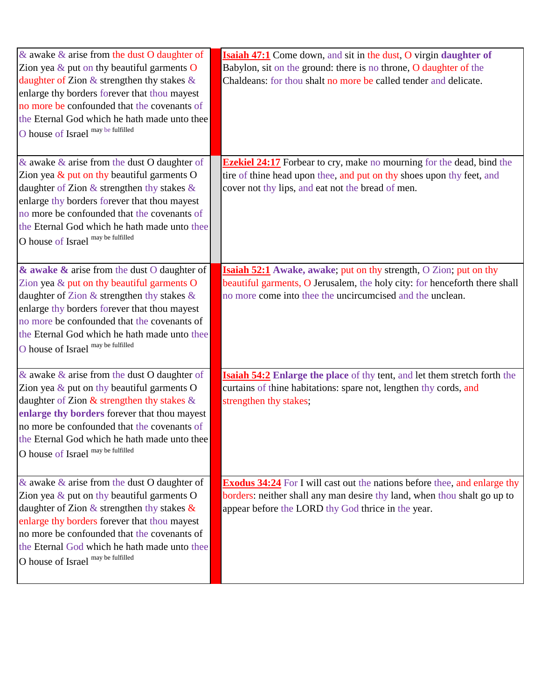| & awake $\&$ arise from the dust O daughter of<br>Zion yea $\&$ put on thy beautiful garments O<br>daughter of Zion & strengthen thy stakes $\&$<br>enlarge thy borders forever that thou mayest<br>no more be confounded that the covenants of<br>the Eternal God which he hath made unto thee<br>O house of Israel may be fulfilled    | <b>Isaiah 47:1</b> Come down, and sit in the dust, O virgin daughter of<br>Babylon, sit on the ground: there is no throne, O daughter of the<br>Chaldeans: for thou shalt no more be called tender and delicate.    |
|------------------------------------------------------------------------------------------------------------------------------------------------------------------------------------------------------------------------------------------------------------------------------------------------------------------------------------------|---------------------------------------------------------------------------------------------------------------------------------------------------------------------------------------------------------------------|
| & awake $\&$ arise from the dust O daughter of<br>Zion yea $\&$ put on thy beautiful garments O<br>daughter of Zion $\&$ strengthen thy stakes $\&$<br>enlarge thy borders forever that thou mayest<br>no more be confounded that the covenants of<br>the Eternal God which he hath made unto thee<br>O house of Israel may be fulfilled | <b>Ezekiel 24:17</b> Forbear to cry, make no mourning for the dead, bind the<br>tire of thine head upon thee, and put on thy shoes upon thy feet, and<br>cover not thy lips, and eat not the bread of men.          |
| & awake & arise from the dust O daughter of<br>Zion yea $&$ put on thy beautiful garments O<br>daughter of Zion & strengthen thy stakes &<br>enlarge thy borders forever that thou mayest<br>no more be confounded that the covenants of<br>the Eternal God which he hath made unto thee<br>O house of Israel may be fulfilled           | <b>Isaiah 52:1</b> Awake, awake; put on thy strength, O Zion; put on thy<br>beautiful garments, O Jerusalem, the holy city: for henceforth there shall<br>no more come into thee the uncircumcised and the unclean. |
| & awake $\&$ arise from the dust O daughter of<br>Zion yea $\&$ put on thy beautiful garments O<br>daughter of Zion $\&$ strengthen thy stakes $\&$<br>enlarge thy borders forever that thou mayest<br>no more be confounded that the covenants of<br>the Eternal God which he hath made unto thee<br>O house of Israel may be fulfilled | <b>Isaiah 54:2</b> Enlarge the place of thy tent, and let them stretch forth the<br>curtains of thine habitations: spare not, lengthen thy cords, and<br>strengthen thy stakes;                                     |
| & awake $\&$ arise from the dust O daughter of<br>Zion yea & put on thy beautiful garments O<br>daughter of Zion & strengthen thy stakes $\&$<br>enlarge thy borders forever that thou mayest<br>no more be confounded that the covenants of<br>the Eternal God which he hath made unto thee<br>O house of Israel may be fulfilled       | <b>Exodus 34:24</b> For I will cast out the nations before thee, and enlarge thy<br>borders: neither shall any man desire thy land, when thou shalt go up to<br>appear before the LORD thy God thrice in the year.  |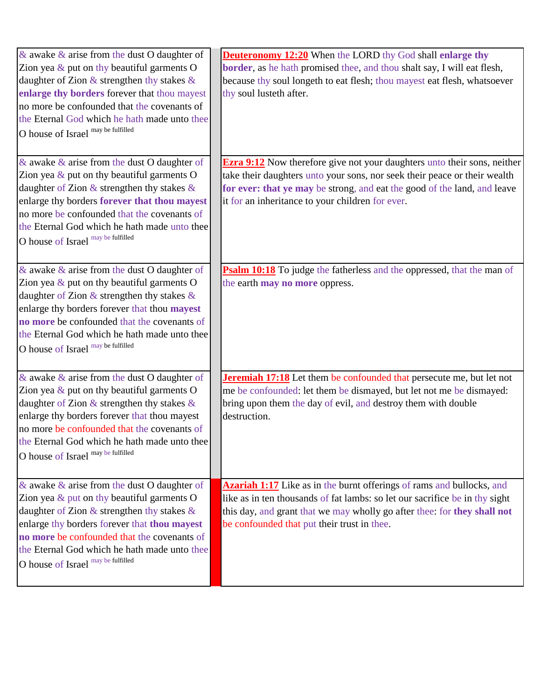| & awake $\&$ arise from the dust O daughter of<br>Zion yea $\&$ put on thy beautiful garments O<br>daughter of Zion $\&$ strengthen thy stakes $\&$<br>enlarge thy borders forever that thou mayest<br>no more be confounded that the covenants of<br>the Eternal God which he hath made unto thee<br>O house of Israel may be fulfilled        | <b>Deuteronomy 12:20</b> When the LORD thy God shall enlarge thy<br>border, as he hath promised thee, and thou shalt say, I will eat flesh,<br>because thy soul longeth to eat flesh; thou mayest eat flesh, whatsoever<br>thy soul lusteth after.                                           |
|-------------------------------------------------------------------------------------------------------------------------------------------------------------------------------------------------------------------------------------------------------------------------------------------------------------------------------------------------|----------------------------------------------------------------------------------------------------------------------------------------------------------------------------------------------------------------------------------------------------------------------------------------------|
| & awake $\&$ arise from the dust O daughter of<br>Zion yea $\&$ put on thy beautiful garments O<br>daughter of Zion $\&$ strengthen thy stakes $\&$<br>enlarge thy borders forever that thou mayest<br>no more be confounded that the covenants of<br>the Eternal God which he hath made unto thee<br>O house of Israel may be fulfilled        | <b>Ezra 9:12</b> Now therefore give not your daughters unto their sons, neither<br>take their daughters unto your sons, nor seek their peace or their wealth<br>for ever: that ye may be strong, and eat the good of the land, and leave<br>it for an inheritance to your children for ever. |
| & awake $\&$ arise from the dust O daughter of<br>Zion yea $\&$ put on thy beautiful garments O<br>daughter of Zion $\&$ strengthen thy stakes $\&$<br>enlarge thy borders forever that thou <b>mayest</b><br>no more be confounded that the covenants of<br>the Eternal God which he hath made unto thee<br>O house of Israel may be fulfilled | <b>Psalm 10:18</b> To judge the fatherless and the oppressed, that the man of<br>the earth <b>may no more</b> oppress.                                                                                                                                                                       |
| & awake $\&$ arise from the dust O daughter of<br>Zion yea $\&$ put on thy beautiful garments O<br>daughter of Zion $&$ strengthen thy stakes $&$<br>enlarge thy borders forever that thou mayest<br>no more be confounded that the covenants of<br>the Eternal God which he hath made unto thee<br>O house of Israel may be fulfilled          | <b>Jeremiah 17:18</b> Let them be confounded that persecute me, but let not<br>me be confounded: let them be dismayed, but let not me be dismayed:<br>bring upon them the day of evil, and destroy them with double<br>destruction.                                                          |
| & awake $\&$ arise from the dust O daughter of<br>Zion yea $\&$ put on thy beautiful garments O<br>daughter of Zion $\&$ strengthen thy stakes $\&$<br>enlarge thy borders forever that thou mayest<br>no more be confounded that the covenants of<br>the Eternal God which he hath made unto thee<br>O house of Israel may be fulfilled        | <b>Azariah 1:17</b> Like as in the burnt offerings of rams and bullocks, and<br>like as in ten thousands of fat lambs: so let our sacrifice be in thy sight<br>this day, and grant that we may wholly go after thee: for they shall not<br>be confounded that put their trust in thee.       |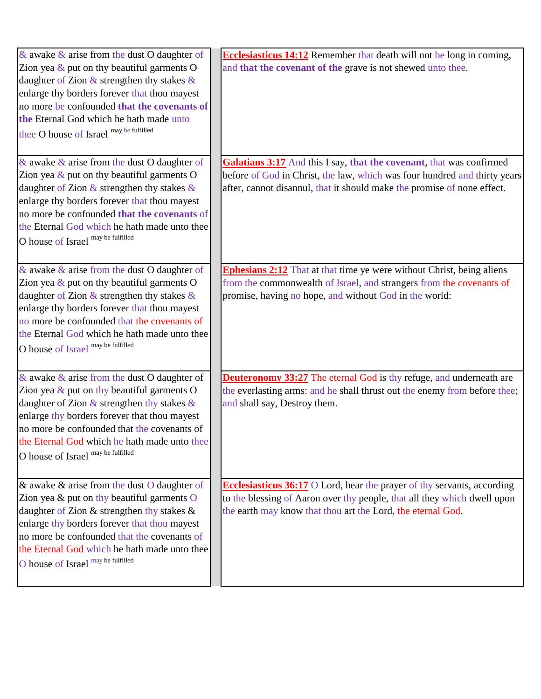| $\&$ awake $\&$ arise from the dust O daughter of | <b>Ecclesiasticus 14:12</b> Remember that death will not be long in coming,  |
|---------------------------------------------------|------------------------------------------------------------------------------|
| Zion yea $\&$ put on thy beautiful garments O     | and that the covenant of the grave is not shewed unto thee.                  |
| daughter of Zion $&$ strengthen thy stakes $&$    |                                                                              |
| enlarge thy borders forever that thou mayest      |                                                                              |
| no more be confounded that the covenants of       |                                                                              |
| the Eternal God which he hath made unto           |                                                                              |
| thee O house of Israel may be fulfilled           |                                                                              |
|                                                   |                                                                              |
| & awake $\&$ arise from the dust O daughter of    | Galatians 3:17 And this I say, that the covenant, that was confirmed         |
| Zion yea $\&$ put on thy beautiful garments O     | before of God in Christ, the law, which was four hundred and thirty years    |
| daughter of Zion $\&$ strengthen thy stakes $\&$  | after, cannot disannul, that it should make the promise of none effect.      |
| enlarge thy borders forever that thou mayest      |                                                                              |
| no more be confounded that the covenants of       |                                                                              |
| the Eternal God which he hath made unto thee      |                                                                              |
| O house of Israel may be fulfilled                |                                                                              |
|                                                   |                                                                              |
| & awake $\&$ arise from the dust O daughter of    | <b>Ephesians 2:12</b> That at that time ye were without Christ, being aliens |
| Zion yea $\&$ put on thy beautiful garments O     | from the commonwealth of Israel, and strangers from the covenants of         |
| daughter of Zion $\&$ strengthen thy stakes $\&$  | promise, having no hope, and without God in the world:                       |
| enlarge thy borders forever that thou mayest      |                                                                              |
| no more be confounded that the covenants of       |                                                                              |
| the Eternal God which he hath made unto thee      |                                                                              |
| O house of Israel may be fulfilled                |                                                                              |
|                                                   |                                                                              |
| & awake $\&$ arise from the dust O daughter of    | <b>Deuteronomy 33:27</b> The eternal God is thy refuge, and underneath are   |
| Zion yea $\&$ put on thy beautiful garments O     | the everlasting arms: and he shall thrust out the enemy from before thee;    |
| daughter of Zion $\&$ strengthen thy stakes $\&$  | and shall say, Destroy them.                                                 |
| enlarge thy borders forever that thou mayest      |                                                                              |
| no more be confounded that the covenants of       |                                                                              |
| the Eternal God which he hath made unto thee      |                                                                              |
| O house of Israel may be fulfilled                |                                                                              |
|                                                   |                                                                              |
| & awake $\&$ arise from the dust O daughter of    | Ecclesiasticus $36:17$ O Lord, hear the prayer of thy servants, according    |
| Zion yea $&$ put on thy beautiful garments $O$    | to the blessing of Aaron over thy people, that all they which dwell upon     |
| daughter of Zion & strengthen thy stakes &        | the earth may know that thou art the Lord, the eternal God.                  |
| enlarge thy borders forever that thou mayest      |                                                                              |
| no more be confounded that the covenants of       |                                                                              |
| the Eternal God which he hath made unto thee      |                                                                              |
| O house of Israel may be fulfilled                |                                                                              |
|                                                   |                                                                              |
|                                                   |                                                                              |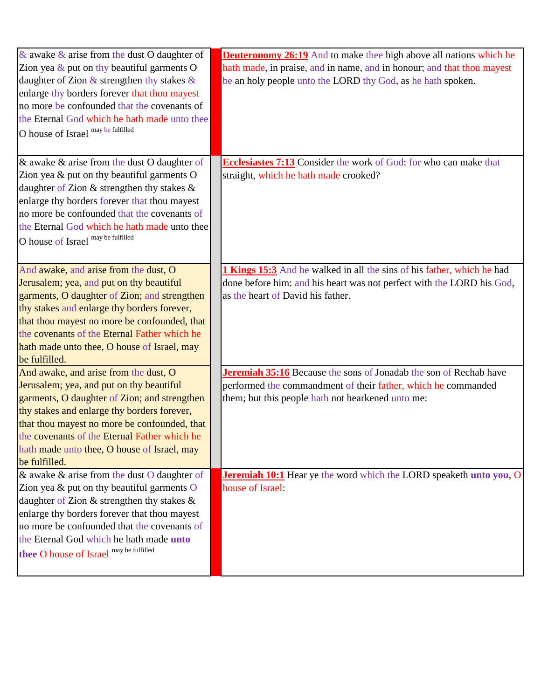| & awake $\&$ arise from the dust O daughter of<br>Zion yea $\&$ put on thy beautiful garments O<br>daughter of Zion $\&$ strengthen thy stakes $\&$<br>enlarge thy borders forever that thou mayest<br>no more be confounded that the covenants of<br>the Eternal God which he hath made unto thee<br>O house of Israel may be fulfilled         | <b>Deuteronomy 26:19</b> And to make thee high above all nations which he<br>hath made, in praise, and in name, and in honour; and that thou mayest<br>be an holy people unto the LORD thy God, as he hath spoken. |
|--------------------------------------------------------------------------------------------------------------------------------------------------------------------------------------------------------------------------------------------------------------------------------------------------------------------------------------------------|--------------------------------------------------------------------------------------------------------------------------------------------------------------------------------------------------------------------|
| & awake & arise from the dust O daughter of<br>Zion yea $&$ put on thy beautiful garments O<br>daughter of Zion & strengthen thy stakes &<br>enlarge thy borders forever that thou mayest<br>no more be confounded that the covenants of<br>the Eternal God which he hath made unto thee<br>O house of Israel may be fulfilled                   | Ecclesiastes 7:13 Consider the work of God: for who can make that<br>straight, which he hath made crooked?                                                                                                         |
| And awake, and arise from the dust, O<br>Jerusalem; yea, and put on thy beautiful<br>garments, O daughter of Zion; and strengthen<br>thy stakes and enlarge thy borders forever,<br>that thou mayest no more be confounded, that<br>the covenants of the Eternal Father which he<br>hath made unto thee, O house of Israel, may<br>be fulfilled. | 1 Kings 15:3 And he walked in all the sins of his father, which he had<br>done before him: and his heart was not perfect with the LORD his God,<br>as the heart of David his father.                               |
| And awake, and arise from the dust, O<br>Jerusalem; yea, and put on thy beautiful<br>garments, O daughter of Zion; and strengthen<br>thy stakes and enlarge thy borders forever,<br>that thou mayest no more be confounded, that<br>the covenants of the Eternal Father which he<br>hath made unto thee, O house of Israel, may<br>be fulfilled. | Jeremiah 35:16 Because the sons of Jonadab the son of Rechab have<br>performed the commandment of their father, which he commanded<br>them; but this people hath not hearkened unto me:                            |
| & awake & arise from the dust O daughter of<br>Zion yea & put on thy beautiful garments O<br>daughter of Zion & strengthen thy stakes &<br>enlarge thy borders forever that thou mayest<br>no more be confounded that the covenants of<br>the Eternal God which he hath made unto<br>thee O house of Israel may be fulfilled                     | <b>Jeremiah 10:1</b> Hear ye the word which the LORD speaketh unto you, O<br>house of Israel:                                                                                                                      |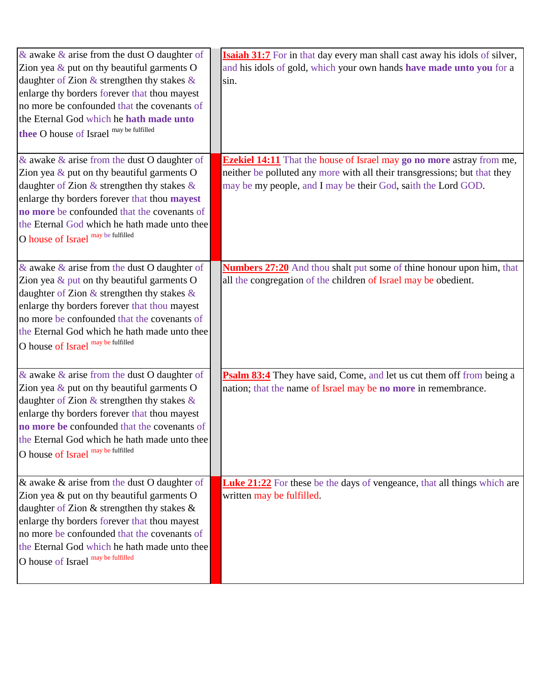| & awake $\&$ arise from the dust O daughter of<br>Zion yea $\&$ put on thy beautiful garments O<br>daughter of Zion $\&$ strengthen thy stakes $\&$<br>enlarge thy borders forever that thou mayest<br>no more be confounded that the covenants of<br>the Eternal God which he hath made unto<br>thee O house of Israel may be fulfilled | <b>Isaiah 31:7</b> For in that day every man shall cast away his idols of silver,<br>and his idols of gold, which your own hands have made unto you for a<br>sin.                                                          |
|------------------------------------------------------------------------------------------------------------------------------------------------------------------------------------------------------------------------------------------------------------------------------------------------------------------------------------------|----------------------------------------------------------------------------------------------------------------------------------------------------------------------------------------------------------------------------|
| & awake $\&$ arise from the dust O daughter of<br>Zion yea $\&$ put on thy beautiful garments O<br>daughter of Zion $\&$ strengthen thy stakes $\&$<br>enlarge thy borders forever that thou mayest<br>no more be confounded that the covenants of<br>the Eternal God which he hath made unto thee<br>O house of Israel may be fulfilled | <b>Ezekiel 14:11</b> That the house of Israel may go no more astray from me,<br>neither be polluted any more with all their transgressions; but that they<br>may be my people, and I may be their God, saith the Lord GOD. |
| & awake $\&$ arise from the dust O daughter of<br>Zion yea $&$ put on thy beautiful garments O<br>daughter of Zion $&$ strengthen thy stakes $&$<br>enlarge thy borders forever that thou mayest<br>no more be confounded that the covenants of<br>the Eternal God which he hath made unto thee<br>O house of Israel may be fulfilled    | <b>Numbers 27:20</b> And thou shalt put some of thine honour upon him, that<br>all the congregation of the children of Israel may be obedient.                                                                             |
| & awake $\&$ arise from the dust O daughter of<br>Zion yea $\&$ put on thy beautiful garments O<br>daughter of Zion $\&$ strengthen thy stakes $\&$<br>enlarge thy borders forever that thou mayest<br>no more be confounded that the covenants of<br>the Eternal God which he hath made unto thee<br>O house of Israel may be fulfilled | Psalm 83:4 They have said, Come, and let us cut them off from being a<br>nation; that the name of Israel may be no more in remembrance.                                                                                    |
| & awake $\&$ arise from the dust O daughter of<br>Zion yea $\&$ put on thy beautiful garments O<br>daughter of Zion & strengthen thy stakes &<br>enlarge thy borders forever that thou mayest<br>no more be confounded that the covenants of<br>the Eternal God which he hath made unto thee<br>O house of Israel may be fulfilled       | <b>Luke 21:22</b> For these be the days of vengeance, that all things which are<br>written may be fulfilled.                                                                                                               |